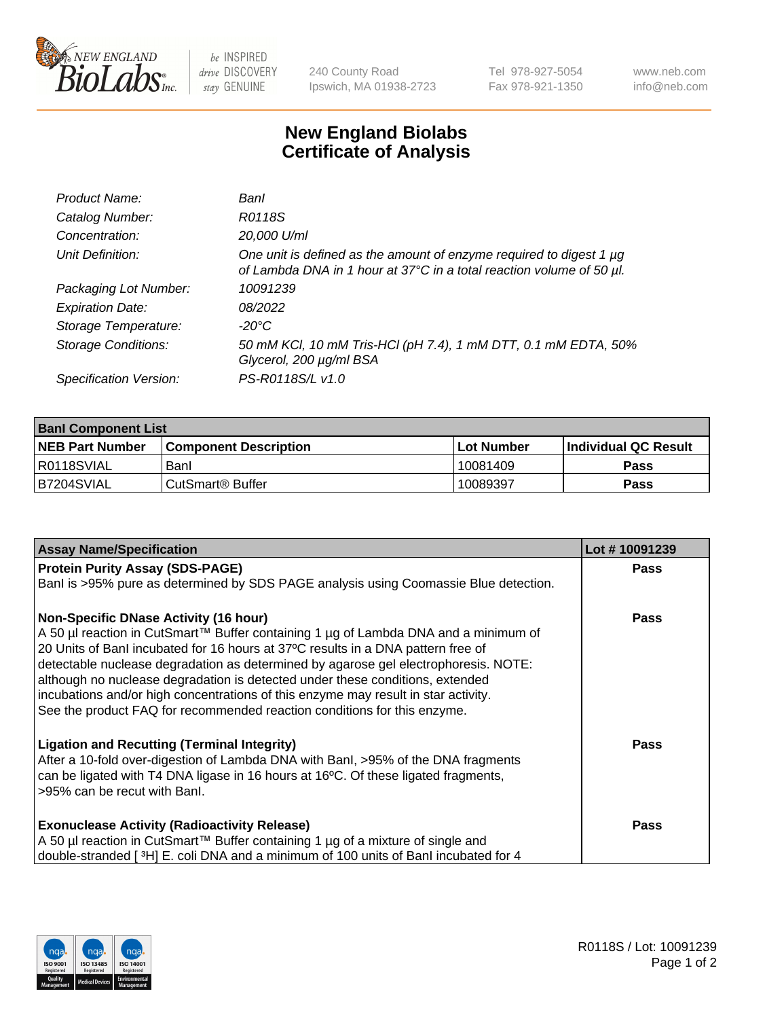

 $be$  INSPIRED drive DISCOVERY stay GENUINE

240 County Road Ipswich, MA 01938-2723 Tel 978-927-5054 Fax 978-921-1350 www.neb.com info@neb.com

## **New England Biolabs Certificate of Analysis**

| Product Name:              | Banl                                                                                                                                        |
|----------------------------|---------------------------------------------------------------------------------------------------------------------------------------------|
| Catalog Number:            | R0118S                                                                                                                                      |
| Concentration:             | 20,000 U/ml                                                                                                                                 |
| Unit Definition:           | One unit is defined as the amount of enzyme required to digest 1 µg<br>of Lambda DNA in 1 hour at 37°C in a total reaction volume of 50 µl. |
| Packaging Lot Number:      | 10091239                                                                                                                                    |
| <b>Expiration Date:</b>    | 08/2022                                                                                                                                     |
| Storage Temperature:       | -20°C                                                                                                                                       |
| <b>Storage Conditions:</b> | 50 mM KCl, 10 mM Tris-HCl (pH 7.4), 1 mM DTT, 0.1 mM EDTA, 50%<br>Glycerol, 200 µg/ml BSA                                                   |
| Specification Version:     | PS-R0118S/L v1.0                                                                                                                            |

| <b>Banl Component List</b> |                         |              |                             |  |  |
|----------------------------|-------------------------|--------------|-----------------------------|--|--|
| <b>NEB Part Number</b>     | l Component Description | l Lot Number | <b>Individual QC Result</b> |  |  |
| R0118SVIAL                 | Banl                    | 10081409     | Pass                        |  |  |
| IB7204SVIAL                | l CutSmart® Buffer      | 10089397     | Pass                        |  |  |

| <b>Assay Name/Specification</b>                                                                                                                                                                                                                                                                                                                                                                                                                                                                                                                                   | Lot #10091239 |
|-------------------------------------------------------------------------------------------------------------------------------------------------------------------------------------------------------------------------------------------------------------------------------------------------------------------------------------------------------------------------------------------------------------------------------------------------------------------------------------------------------------------------------------------------------------------|---------------|
| <b>Protein Purity Assay (SDS-PAGE)</b>                                                                                                                                                                                                                                                                                                                                                                                                                                                                                                                            | Pass          |
| Banl is >95% pure as determined by SDS PAGE analysis using Coomassie Blue detection.                                                                                                                                                                                                                                                                                                                                                                                                                                                                              |               |
| <b>Non-Specific DNase Activity (16 hour)</b><br>A 50 µl reaction in CutSmart™ Buffer containing 1 µg of Lambda DNA and a minimum of<br>20 Units of Banl incubated for 16 hours at 37°C results in a DNA pattern free of<br>detectable nuclease degradation as determined by agarose gel electrophoresis. NOTE:<br>although no nuclease degradation is detected under these conditions, extended<br>incubations and/or high concentrations of this enzyme may result in star activity.<br>See the product FAQ for recommended reaction conditions for this enzyme. | Pass          |
| <b>Ligation and Recutting (Terminal Integrity)</b><br>After a 10-fold over-digestion of Lambda DNA with BanI, >95% of the DNA fragments<br>can be ligated with T4 DNA ligase in 16 hours at 16°C. Of these ligated fragments,<br>>95% can be recut with Banl.                                                                                                                                                                                                                                                                                                     | Pass          |
| <b>Exonuclease Activity (Radioactivity Release)</b><br>A 50 µl reaction in CutSmart™ Buffer containing 1 µg of a mixture of single and<br>double-stranded [3H] E. coli DNA and a minimum of 100 units of Banl incubated for 4                                                                                                                                                                                                                                                                                                                                     | Pass          |